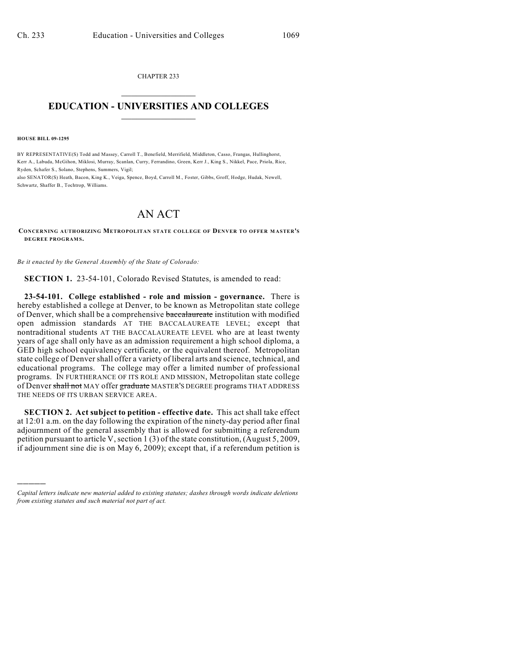CHAPTER 233  $\overline{\phantom{a}}$  . The set of the set of the set of the set of the set of the set of the set of the set of the set of the set of the set of the set of the set of the set of the set of the set of the set of the set of the set o

## **EDUCATION - UNIVERSITIES AND COLLEGES**  $\_$

**HOUSE BILL 09-1295**

)))))

BY REPRESENTATIVE(S) Todd and Massey, Carroll T., Benefield, Merrifield, Middleton, Casso, Frangas, Hullinghorst, Kerr A., Labuda, McGihon, Miklosi, Murray, Scanlan, Curry, Ferrandino, Green, Kerr J., King S., Nikkel, Pace, Priola, Rice, Ryden, Schafer S., Solano, Stephens, Summers, Vigil;

also SENATOR(S) Heath, Bacon, King K., Veiga, Spence, Boyd, Carroll M., Foster, Gibbs, Groff, Hodge, Hudak, Newell, Schwartz, Shaffer B., Tochtrop, Williams.

## AN ACT

**CONCERNING AUTHORIZING METROPOLITAN STATE COLLEGE OF DENVER TO OFFER M ASTER'S DEGREE PROGRAM S.**

*Be it enacted by the General Assembly of the State of Colorado:*

**SECTION 1.** 23-54-101, Colorado Revised Statutes, is amended to read:

**23-54-101. College established - role and mission - governance.** There is hereby established a college at Denver, to be known as Metropolitan state college of Denver, which shall be a comprehensive baccalaureate institution with modified open admission standards AT THE BACCALAUREATE LEVEL; except that nontraditional students AT THE BACCALAUREATE LEVEL who are at least twenty years of age shall only have as an admission requirement a high school diploma, a GED high school equivalency certificate, or the equivalent thereof. Metropolitan state college of Denver shall offer a variety of liberal arts and science, technical, and educational programs. The college may offer a limited number of professional programs. IN FURTHERANCE OF ITS ROLE AND MISSION, Metropolitan state college of Denver shall not MAY offer graduate MASTER'S DEGREE programs THAT ADDRESS THE NEEDS OF ITS URBAN SERVICE AREA.

**SECTION 2. Act subject to petition - effective date.** This act shall take effect at 12:01 a.m. on the day following the expiration of the ninety-day period after final adjournment of the general assembly that is allowed for submitting a referendum petition pursuant to article V, section 1 (3) of the state constitution, (August 5, 2009, if adjournment sine die is on May 6, 2009); except that, if a referendum petition is

*Capital letters indicate new material added to existing statutes; dashes through words indicate deletions from existing statutes and such material not part of act.*